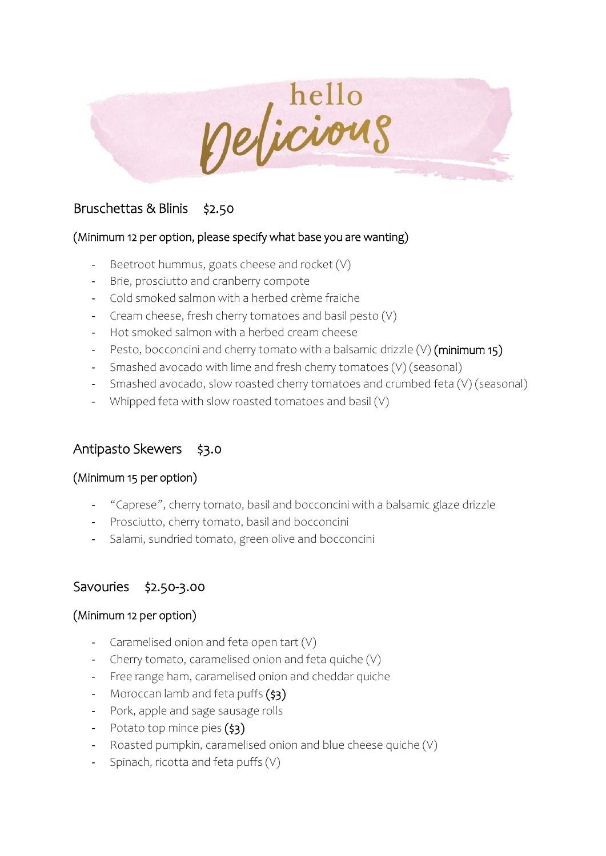

## Bruschettas & Blinis \$2.50

#### (Minimum 12 per option, please specify what base you are wanting)

- Beetroot hummus, goats cheese and rocket  $(V)$
- Brie, prosciutto and cranberry compote
- Cold smoked salmon with a herbed crème fraiche
- Cream cheese, fresh cherry tomatoes and basil pesto (V)
- Hot smoked salmon with a herbed cream cheese
- Pesto, bocconcini and cherry tomato with a balsamic drizzle  $(V)$  (minimum 15)
- Smashed avocado with lime and fresh cherry tomatoes (V) (seasonal)
- Smashed avocado, slow roasted cherry tomatoes and crumbed feta (V) (seasonal)
- Whipped feta with slow roasted tomatoes and basil (V)

## Antipasto Skewers \$3.0

#### (Minimum 15 per option)

- "Caprese", cherry tomato, basil and bocconcini with a balsamic glaze drizzle
- Prosciutto, cherry tomato, basil and bocconcini
- Salami, sundried tomato, green olive and bocconcini

## Savouries \$2.50-3.00

#### (Minimum 12 per option)

- Caramelised onion and feta open tart (V)
- Cherry tomato, caramelised onion and feta quiche (V)
- Free range ham, caramelised onion and cheddar quiche
- Moroccan lamb and feta puffs  $(s_3)$
- Pork, apple and sage sausage rolls
- Potato top mince pies  $(\frac{1}{53})$
- Roasted pumpkin, caramelised onion and blue cheese quiche (V)
- Spinach, ricotta and feta puffs (V)